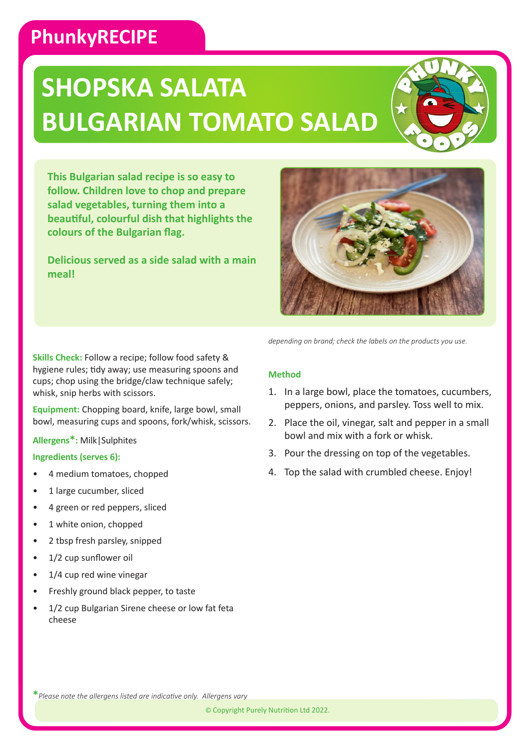### **PhunkyRECIPE**

# **SHOPSKA SALATA BULGARIAN TOMATO SALAD**



**This Bulgarian salad recipe is so easy to follow. Children love to chop and prepare salad vegetables, turning them into a beautiful, colourful dish that highlights the colours of the Bulgarian flag.**

**Delicious served as a side salad with a main meal!**



**Skills Check:** Follow a recipe; follow food safety & hygiene rules; tidy away; use measuring spoons and cups; chop using the bridge/claw technique safely; whisk, snip herbs with scissors.

**Equipment:** Chopping board, knife, large bowl, small bowl, measuring cups and spoons, fork/whisk, scissors.

**Allergens\*:** Milk|Sulphites

#### **Ingredients (serves 6):**

- 4 medium tomatoes, chopped
- 1 large cucumber, sliced
- 4 green or red peppers, sliced
- 1 white onion, chopped
- 2 tbsp fresh parsley, snipped
- 1/2 cup sunflower oil
- 1/4 cup red wine vinegar
- Freshly ground black pepper, to taste
- 1/2 cup Bulgarian Sirene cheese or low fat feta cheese

*depending on brand; check the labels on the products you use.*

### **Method**

- 1. In a large bowl, place the tomatoes, cucumbers, peppers, onions, and parsley. Toss well to mix.
- 2. Place the oil, vinegar, salt and pepper in a small bowl and mix with a fork or whisk.
- 3. Pour the dressing on top of the vegetables.
- 4. Top the salad with crumbled cheese. Enjoy!

**\****Please note the allergens listed are indicative only. Allergens vary*